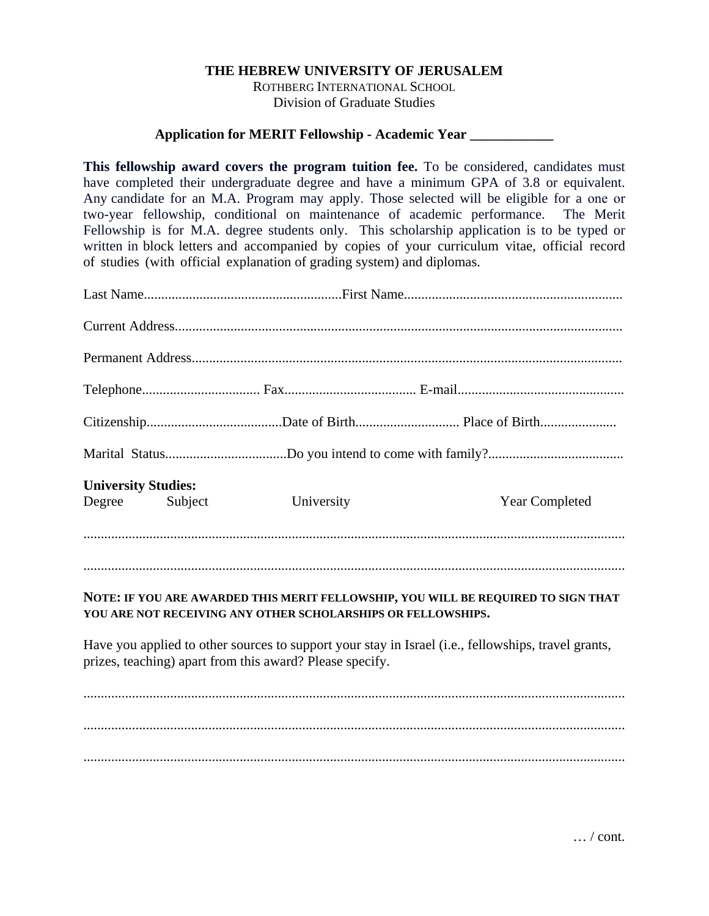## **THE HEBREW UNIVERSITY OF JERUSALEM**

ROTHBERG INTERNATIONAL SCHOOL Division of Graduate Studies

## **Application for MERIT Fellowship - Academic Year \_\_\_\_\_\_\_\_\_\_\_\_**

**This fellowship award covers the program tuition fee.** To be considered, candidates must have completed their undergraduate degree and have a minimum GPA of 3.8 or equivalent. Any candidate for an M.A. Program may apply. Those selected will be eligible for a one or two-year fellowship, conditional on maintenance of academic performance. The Merit Fellowship is for M.A. degree students only. This scholarship application is to be typed or written in block letters and accompanied by copies of your curriculum vitae, official record of studies (with official explanation of grading system) and diplomas.

| <b>University Studies:</b><br>Degree | Subject | University                                                   | <b>Year Completed</b>                                                                               |
|--------------------------------------|---------|--------------------------------------------------------------|-----------------------------------------------------------------------------------------------------|
|                                      |         |                                                              |                                                                                                     |
|                                      |         | YOU ARE NOT RECEIVING ANY OTHER SCHOLARSHIPS OR FELLOWSHIPS. | NOTE: IF YOU ARE AWARDED THIS MERIT FELLOWSHIP, YOU WILL BE REQUIRED TO SIGN THAT                   |
|                                      |         | prizes, teaching) apart from this award? Please specify.     | Have you applied to other sources to support your stay in Israel (i.e., fellowships, travel grants, |
|                                      |         |                                                              |                                                                                                     |
|                                      |         |                                                              |                                                                                                     |
|                                      |         |                                                              |                                                                                                     |